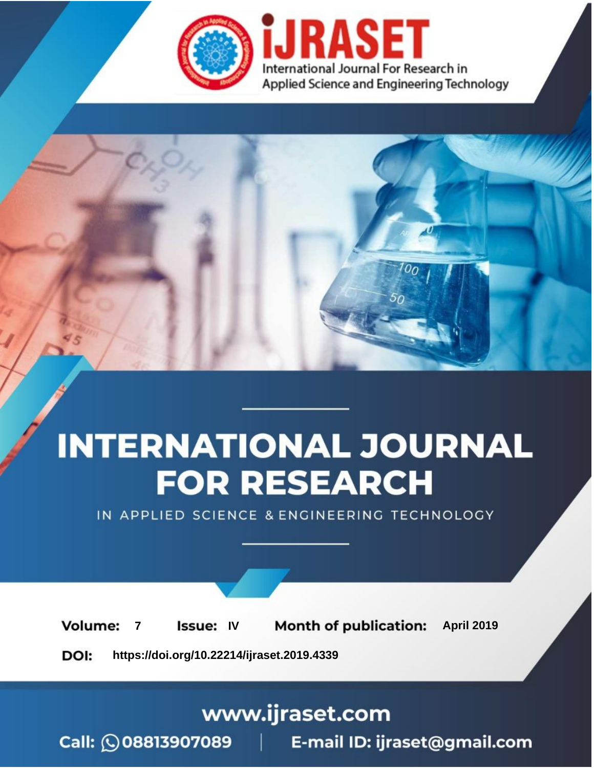

# **INTERNATIONAL JOURNAL FOR RESEARCH**

IN APPLIED SCIENCE & ENGINEERING TECHNOLOGY

**7 Issue: IV Month of publication:** April 2019 **Volume:** 

**https://doi.org/10.22214/ijraset.2019.4339**DOI:

### www.ijraset.com

Call: 008813907089 | E-mail ID: ijraset@gmail.com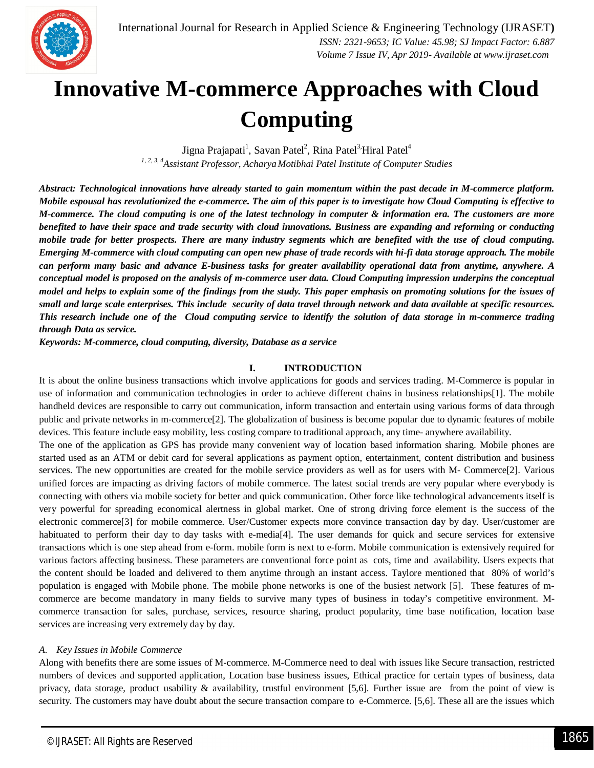

### **Innovative M-commerce Approaches with Cloud Computing**

Jigna Prajapati<sup>1</sup>, Savan Patel<sup>2</sup>, Rina Patel<sup>3,</sup>Hiral Patel<sup>4</sup> *1, 2, 3, <sup>4</sup>Assistant Professor, Acharya Motibhai Patel Institute of Computer Studies*

*Abstract: Technological innovations have already started to gain momentum within the past decade in M-commerce platform. Mobile espousal has revolutionized the e-commerce. The aim of this paper is to investigate how Cloud Computing is effective to M-commerce. The cloud computing is one of the latest technology in computer & information era. The customers are more benefited to have their space and trade security with cloud innovations. Business are expanding and reforming or conducting mobile trade for better prospects. There are many industry segments which are benefited with the use of cloud computing. Emerging M-commerce with cloud computing can open new phase of trade records with hi-fi data storage approach. The mobile can perform many basic and advance E-business tasks for greater availability operational data from anytime, anywhere. A conceptual model is proposed on the analysis of m-commerce user data. Cloud Computing impression underpins the conceptual model and helps to explain some of the findings from the study. This paper emphasis on promoting solutions for the issues of small and large scale enterprises. This include security of data travel through network and data available at specific resources. This research include one of the Cloud computing service to identify the solution of data storage in m-commerce trading through Data as service.*

*Keywords: M-commerce, cloud computing, diversity, Database as a service*

#### **I. INTRODUCTION**

It is about the online business transactions which involve applications for goods and services trading. M-Commerce is popular in use of information and communication technologies in order to achieve different chains in business relationships[1]. The mobile handheld devices are responsible to carry out communication, inform transaction and entertain using various forms of data through public and private networks in m-commerce[2]. The globalization of business is become popular due to dynamic features of mobile devices. This feature include easy mobility, less costing compare to traditional approach, any time- anywhere availability.

The one of the application as GPS has provide many convenient way of location based information sharing. Mobile phones are started used as an ATM or debit card for several applications as payment option, entertainment, content distribution and business services. The new opportunities are created for the mobile service providers as well as for users with M- Commerce[2]. Various unified forces are impacting as driving factors of mobile commerce. The latest social trends are very popular where everybody is connecting with others via mobile society for better and quick communication. Other force like technological advancements itself is very powerful for spreading economical alertness in global market. One of strong driving force element is the success of the electronic commerce[3] for mobile commerce. User/Customer expects more convince transaction day by day. User/customer are habituated to perform their day to day tasks with e-media[4]. The user demands for quick and secure services for extensive transactions which is one step ahead from e-form. mobile form is next to e-form. Mobile communication is extensively required for various factors affecting business. These parameters are conventional force point as cots, time and availability. Users expects that the content should be loaded and delivered to them anytime through an instant access. Taylore mentioned that 80% of world's population is engaged with Mobile phone. The mobile phone networks is one of the busiest network [5]. These features of mcommerce are become mandatory in many fields to survive many types of business in today's competitive environment. Mcommerce transaction for sales, purchase, services, resource sharing, product popularity, time base notification, location base services are increasing very extremely day by day.

#### *A. Key Issues in Mobile Commerce*

Along with benefits there are some issues of M-commerce. M-Commerce need to deal with issues like Secure transaction, restricted numbers of devices and supported application, Location base business issues, Ethical practice for certain types of business, data privacy, data storage, product usability & availability, trustful environment [5,6]. Further issue are from the point of view is security. The customers may have doubt about the secure transaction compare to e-Commerce. [5,6]. These all are the issues which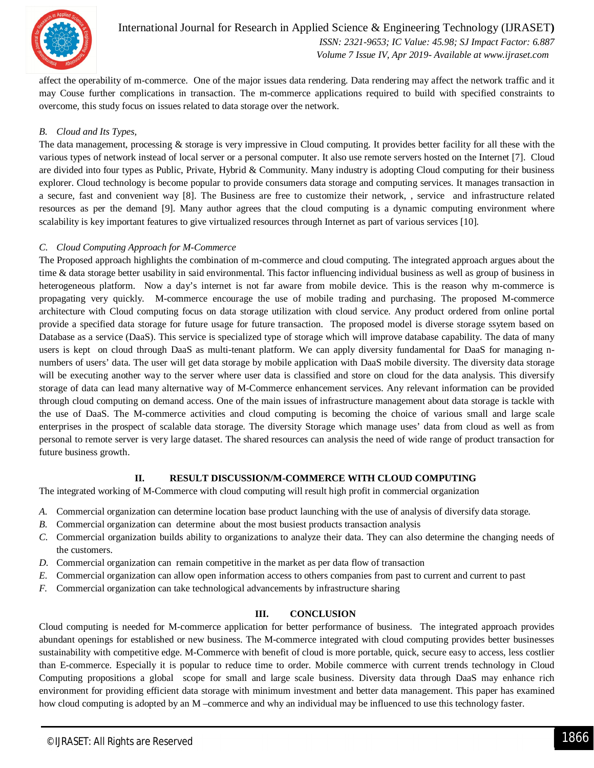

International Journal for Research in Applied Science & Engineering Technology (IJRASET**)**  *ISSN: 2321-9653; IC Value: 45.98; SJ Impact Factor: 6.887 Volume 7 Issue IV, Apr 2019- Available at www.ijraset.com*

affect the operability of m-commerce. One of the major issues data rendering. Data rendering may affect the network traffic and it may Couse further complications in transaction. The m-commerce applications required to build with specified constraints to overcome, this study focus on issues related to data storage over the network.

#### *B. Cloud and Its Types,*

The data management, processing & storage is very impressive in Cloud computing. It provides better facility for all these with the various types of network instead of local server or a personal computer. It also use remote servers hosted on the Internet [7]. Cloud are divided into four types as Public, Private, Hybrid & Community. Many industry is adopting Cloud computing for their business explorer. Cloud technology is become popular to provide consumers data storage and computing services. It manages transaction in a secure, fast and convenient way [8]. The Business are free to customize their network, , service and infrastructure related resources as per the demand [9]. Many author agrees that the cloud computing is a dynamic computing environment where scalability is key important features to give virtualized resources through Internet as part of various services [10].

#### *C. Cloud Computing Approach for M-Commerce*

The Proposed approach highlights the combination of m-commerce and cloud computing. The integrated approach argues about the time & data storage better usability in said environmental. This factor influencing individual business as well as group of business in heterogeneous platform. Now a day's internet is not far aware from mobile device. This is the reason why m-commerce is propagating very quickly. M-commerce encourage the use of mobile trading and purchasing. The proposed M-commerce architecture with Cloud computing focus on data storage utilization with cloud service. Any product ordered from online portal provide a specified data storage for future usage for future transaction. The proposed model is diverse storage ssytem based on Database as a service (DaaS). This service is specialized type of storage which will improve database capability. The data of many users is kept on cloud through DaaS as multi-tenant platform. We can apply diversity fundamental for DaaS for managing nnumbers of users' data. The user will get data storage by mobile application with DaaS mobile diversity. The diversity data storage will be executing another way to the server where user data is classified and store on cloud for the data analysis. This diversify storage of data can lead many alternative way of M-Commerce enhancement services. Any relevant information can be provided through cloud computing on demand access. One of the main issues of infrastructure management about data storage is tackle with the use of DaaS. The M-commerce activities and cloud computing is becoming the choice of various small and large scale enterprises in the prospect of scalable data storage. The diversity Storage which manage uses' data from cloud as well as from personal to remote server is very large dataset. The shared resources can analysis the need of wide range of product transaction for future business growth.

#### **II. RESULT DISCUSSION/M-COMMERCE WITH CLOUD COMPUTING**

The integrated working of M-Commerce with cloud computing will result high profit in commercial organization

- *A.* Commercial organization can determine location base product launching with the use of analysis of diversify data storage.
- *B.* Commercial organization can determine about the most busiest products transaction analysis
- *C.* Commercial organization builds ability to organizations to analyze their data. They can also determine the changing needs of the customers.
- *D.* Commercial organization can remain competitive in the market as per data flow of transaction
- *E.* Commercial organization can allow open information access to others companies from past to current and current to past
- *F.* Commercial organization can take technological advancements by infrastructure sharing

#### **III. CONCLUSION**

Cloud computing is needed for M-commerce application for better performance of business. The integrated approach provides abundant openings for established or new business. The M-commerce integrated with cloud computing provides better businesses sustainability with competitive edge. M-Commerce with benefit of cloud is more portable, quick, secure easy to access, less costlier than E-commerce. Especially it is popular to reduce time to order. Mobile commerce with current trends technology in Cloud Computing propositions a global scope for small and large scale business. Diversity data through DaaS may enhance rich environment for providing efficient data storage with minimum investment and better data management. This paper has examined how cloud computing is adopted by an M –commerce and why an individual may be influenced to use this technology faster.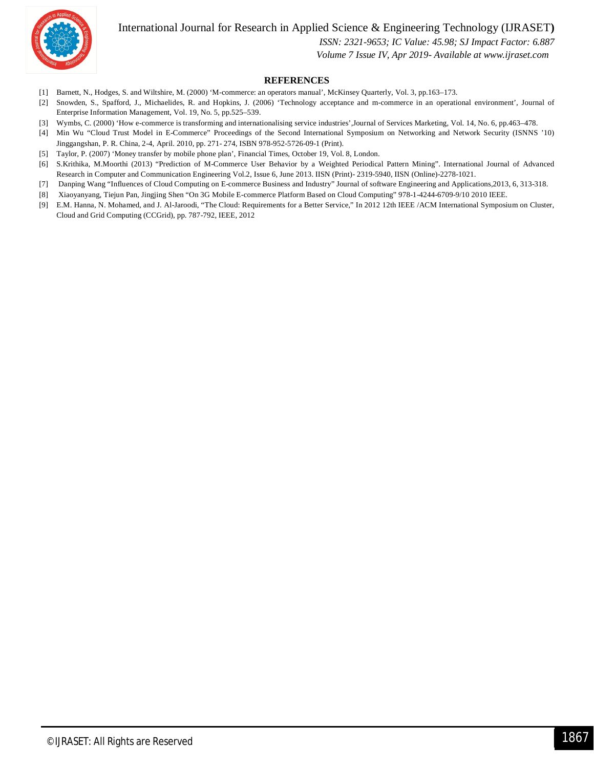International Journal for Research in Applied Science & Engineering Technology (IJRASET**)**



 *ISSN: 2321-9653; IC Value: 45.98; SJ Impact Factor: 6.887*

 *Volume 7 Issue IV, Apr 2019- Available at www.ijraset.com*

#### **REFERENCES**

- [1] Barnett, N., Hodges, S. and Wiltshire, M. (2000) 'M-commerce: an operators manual', McKinsey Quarterly, Vol. 3, pp.163–173.
- [2] Snowden, S., Spafford, J., Michaelides, R. and Hopkins, J. (2006) 'Technology acceptance and m-commerce in an operational environment', Journal of Enterprise Information Management, Vol. 19, No. 5, pp.525–539.
- [3] Wymbs, C. (2000) 'How e-commerce is transforming and internationalising service industries',Journal of Services Marketing, Vol. 14, No. 6, pp.463–478.
- [4] Min Wu "Cloud Trust Model in E-Commerce" Proceedings of the Second International Symposium on Networking and Network Security (ISNNS '10) Jinggangshan, P. R. China, 2-4, April. 2010, pp. 271- 274, ISBN 978-952-5726-09-1 (Print).
- [5] Taylor, P. (2007) 'Money transfer by mobile phone plan', Financial Times, October 19, Vol. 8, London.
- [6] S.Krithika, M.Moorthi (2013) "Prediction of M-Commerce User Behavior by a Weighted Periodical Pattern Mining". International Journal of Advanced Research in Computer and Communication Engineering Vol.2, Issue 6, June 2013. IISN (Print)- 2319-5940, IISN (Online)-2278-1021.
- [7] Danping Wang "Influences of Cloud Computing on E-commerce Business and Industry" Journal of software Engineering and Applications,2013, 6, 313-318.
- [8] Xiaoyanyang, Tiejun Pan, Jingjing Shen "On 3G Mobile E-commerce Platform Based on Cloud Computing" 978-1-4244-6709-9/10 2010 IEEE.
- [9] E.M. Hanna, N. Mohamed, and J. Al-Jaroodi, "The Cloud: Requirements for a Better Service," In 2012 12th IEEE /ACM International Symposium on Cluster, Cloud and Grid Computing (CCGrid), pp. 787-792, IEEE, 2012